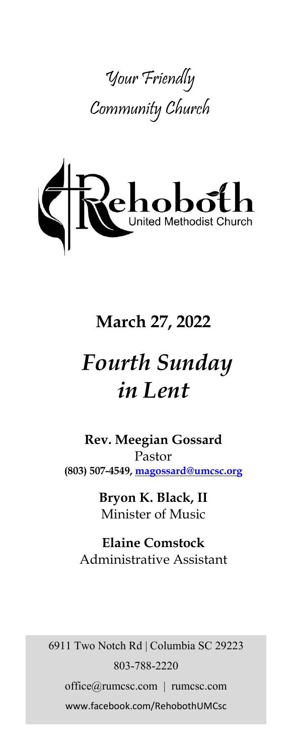



## **March 27, 2022**

# *Fourth Sunday in Lent*

**Rev. Meegian Gossard** Pastor **(803) 507-4549, magossard@umcsc.org**

> **Bryon K. Black, II** Minister of Music

**Elaine Comstock** Administrative Assistant

6911 Two Notch Rd | Columbia SC 29223 803-788-2220 office@rumcsc.com | rumcsc.com www.facebook.com/RehobothUMCsc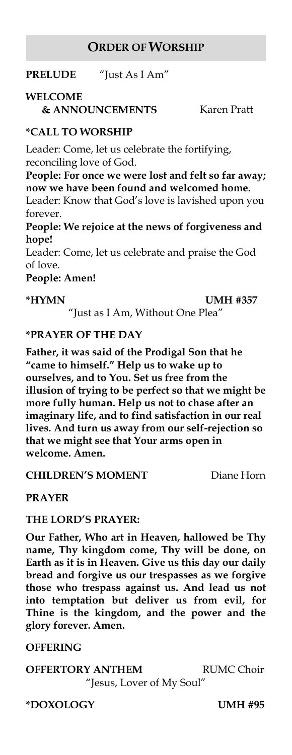### **ORDER OF WORSHIP**

**PRELUDE** "Just As I Am"

### **WELCOME**

**& ANNOUNCEMENTS** Karen Pratt

### **\*CALL TO WORSHIP**

Leader: Come, let us celebrate the fortifying, reconciling love of God.

**People: For once we were lost and felt so far away; now we have been found and welcomed home.** Leader: Know that God's love is lavished upon you

forever.

**People: We rejoice at the news of forgiveness and hope!**

Leader: Come, let us celebrate and praise the God of love.

**People: Amen!**

**\*HYMN UMH #357**

"Just as I Am, Without One Plea"

### **\*PRAYER OF THE DAY**

**Father, it was said of the Prodigal Son that he "came to himself." Help us to wake up to ourselves, and to You. Set us free from the illusion of trying to be perfect so that we might be more fully human. Help us not to chase after an imaginary life, and to find satisfaction in our real lives. And turn us away from our self-rejection so that we might see that Your arms open in welcome. Amen.** 

**CHILDREN'S MOMENT** Diane Horn

### **PRAYER**

### **THE LORD'S PRAYER:**

**Our Father, Who art in Heaven, hallowed be Thy name, Thy kingdom come, Thy will be done, on Earth as it is in Heaven. Give us this day our daily bread and forgive us our trespasses as we forgive those who trespass against us. And lead us not into temptation but deliver us from evil, for Thine is the kingdom, and the power and the glory forever. Amen.** 

### **OFFERING**

### **OFFERTORY ANTHEM RUMC Choir**

"Jesus, Lover of My Soul"

**\*DOXOLOGY UMH #95**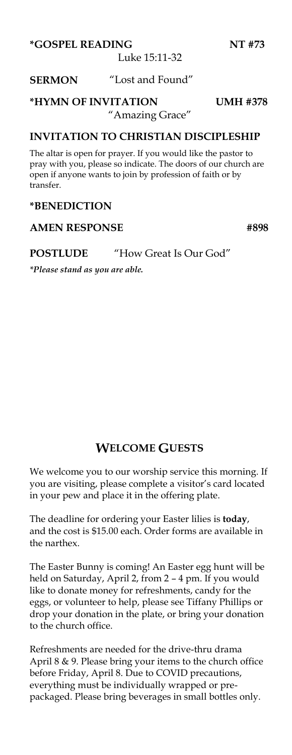**\*GOSPEL READING NT #73**

Luke 15:11-32

### **SERMON** "Lost and Found"

### **\*HYMN OF INVITATION UMH #378**

### "Amazing Grace"

### **INVITATION TO CHRISTIAN DISCIPLESHIP**

The altar is open for prayer. If you would like the pastor to pray with you, please so indicate. The doors of our church are open if anyone wants to join by profession of faith or by transfer.

### **\*BENEDICTION**

### AMEN RESPONSE #898

#### **POSTLUDE** "How Great Is Our God"

*\*Please stand as you are able.*

### **WELCOME GUESTS**

We welcome you to our worship service this morning. If you are visiting, please complete a visitor's card located in your pew and place it in the offering plate.

The deadline for ordering your Easter lilies is **today**, and the cost is \$15.00 each. Order forms are available in the narthex.

The Easter Bunny is coming! An Easter egg hunt will be held on Saturday, April 2, from 2 – 4 pm. If you would like to donate money for refreshments, candy for the eggs, or volunteer to help, please see Tiffany Phillips or drop your donation in the plate, or bring your donation to the church office.

Refreshments are needed for the drive-thru drama April 8 & 9. Please bring your items to the church office before Friday, April 8. Due to COVID precautions, everything must be individually wrapped or prepackaged. Please bring beverages in small bottles only.